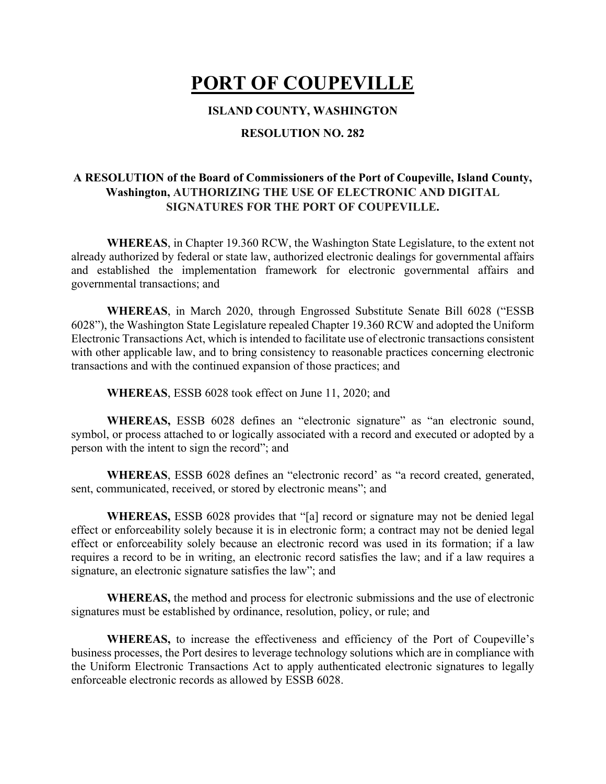# **PORT OF COUPEVILLE**

#### **ISLAND COUNTY, WASHINGTON**

#### **RESOLUTION NO. 282**

### **A RESOLUTION of the Board of Commissioners of the Port of Coupeville, Island County, Washington, AUTHORIZING THE USE OF ELECTRONIC AND DIGITAL SIGNATURES FOR THE PORT OF COUPEVILLE.**

**WHEREAS**, in Chapter 19.360 RCW, the Washington State Legislature, to the extent not already authorized by federal or state law, authorized electronic dealings for governmental affairs and established the implementation framework for electronic governmental affairs and governmental transactions; and

**WHEREAS**, in March 2020, through Engrossed Substitute Senate Bill 6028 ("ESSB 6028"), the Washington State Legislature repealed Chapter 19.360 RCW and adopted the Uniform Electronic Transactions Act, which is intended to facilitate use of electronic transactions consistent with other applicable law, and to bring consistency to reasonable practices concerning electronic transactions and with the continued expansion of those practices; and

**WHEREAS**, ESSB 6028 took effect on June 11, 2020; and

WHEREAS, ESSB 6028 defines an "electronic signature" as "an electronic sound, symbol, or process attached to or logically associated with a record and executed or adopted by a person with the intent to sign the record"; and

**WHEREAS**, ESSB 6028 defines an "electronic record' as "a record created, generated, sent, communicated, received, or stored by electronic means"; and

**WHEREAS,** ESSB 6028 provides that "[a] record or signature may not be denied legal effect or enforceability solely because it is in electronic form; a contract may not be denied legal effect or enforceability solely because an electronic record was used in its formation; if a law requires a record to be in writing, an electronic record satisfies the law; and if a law requires a signature, an electronic signature satisfies the law"; and

**WHEREAS,** the method and process for electronic submissions and the use of electronic signatures must be established by ordinance, resolution, policy, or rule; and

**WHEREAS,** to increase the effectiveness and efficiency of the Port of Coupeville's business processes, the Port desires to leverage technology solutions which are in compliance with the Uniform Electronic Transactions Act to apply authenticated electronic signatures to legally enforceable electronic records as allowed by ESSB 6028.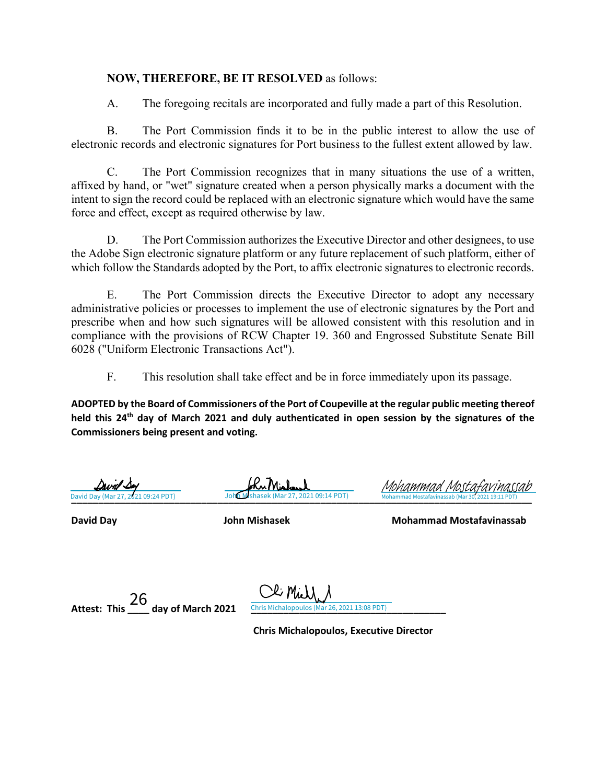#### **NOW, THEREFORE, BE IT RESOLVED** as follows:

A. The foregoing recitals are incorporated and fully made a part of this Resolution.

B. The Port Commission finds it to be in the public interest to allow the use of electronic records and electronic signatures for Port business to the fullest extent allowed by law.

C. The Port Commission recognizes that in many situations the use of a written, affixed by hand, or "wet" signature created when a person physically marks a document with the intent to sign the record could be replaced with an electronic signature which would have the same force and effect, except as required otherwise by law.

D. The Port Commission authorizes the Executive Director and other designees, to use the Adobe Sign electronic signature platform or any future replacement of such platform, either of which follow the Standards adopted by the Port, to affix electronic signatures to electronic records.

E. The Port Commission directs the Executive Director to adopt any necessary administrative policies or processes to implement the use of electronic signatures by the Port and prescribe when and how such signatures will be allowed consistent with this resolution and in compliance with the provisions of RCW Chapter 19. 360 and Engrossed Substitute Senate Bill 6028 ("Uniform Electronic Transactions Act").

F. This resolution shall take effect and be in force immediately upon its passage.

**ADOPTED by the Board of Commissioners of the Port of Coupeville at the regular public meeting thereof held this 24th day of March 2021 and duly authenticated in open session by the signatures of the Commissioners being present and voting.**

)avd

KuMish

**[\\_\\_\\_\\_\\_\\_\\_\\_\\_\\_\\_\\_\\_\\_\\_\\_\\_\\_\\_\\_\\_\\_\\_\\_\\_\\_\\_\\_\\_\\_\\_\\_\\_\\_\\_\\_\\_\\_\\_\\_\\_\\_\\_\\_\\_\\_\\_\\_\\_\\_\\_\\_\\_\\_\\_\\_\\_](https://na3.documents.adobe.com/verifier?tx=CBJCHBCAABAAoxzVshZ9KXs9fn3j9H4IRoCUrnA41XUZ)\_\_\_\_\_\_\_\_\_\_\_\_\_\_\_\_\_\_\_\_\_\_\_\_\_\_\_\_**  David Day (Mar 27, 2021 09:24 PDT) John Mishasek (Mar 27, 2021 09:14 PDT) Mohammad Mostafavinassab (Mar 30, 2021 19:11 PDT) Mohammad Mostafavina

**David Day John Mishasek Mohammad Mostafavinassab**

Attest: This \_\_\_\_\_ day of March 2021 *Chris Michalopoulos (Mar 26, 2021 13:08 PDT)* 

Li MiJ Chris Michalopoulos (Mar 26, 2021 13:08 PDT)

 **Chris Michalopoulos, Executive Director**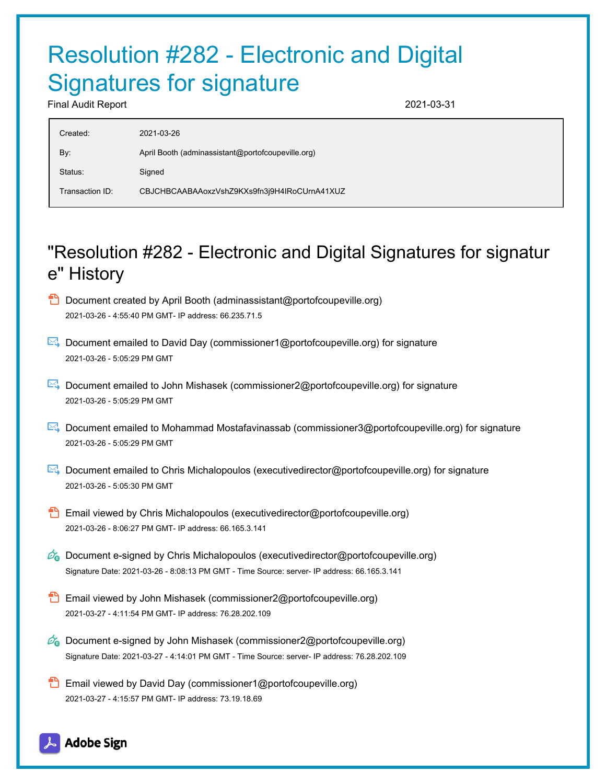# Resolution #282 - Electronic and Digital Signatures for signature

Final Audit Report 2021-03-31

| Created:        | 2021-03-26                                        |
|-----------------|---------------------------------------------------|
| By:             | April Booth (adminassistant@portofcoupeville.org) |
| Status:         | Signed                                            |
| Transaction ID: | CBJCHBCAABAAoxzVshZ9KXs9fn3j9H4IRoCUrnA41XUZ      |
|                 |                                                   |

## "Resolution #282 - Electronic and Digital Signatures for signatur e" History

- $\Box$  Document created by April Booth (adminassistant@portofcoupeville.org) 2021-03-26 - 4:55:40 PM GMT- IP address: 66.235.71.5
- Document emailed to David Day (commissioner1@portofcoupeville.org) for signature 2021-03-26 - 5:05:29 PM GMT
- Document emailed to John Mishasek (commissioner2@portofcoupeville.org) for signature 2021-03-26 - 5:05:29 PM GMT
- Document emailed to Mohammad Mostafavinassab (commissioner3@portofcoupeville.org) for signature 2021-03-26 - 5:05:29 PM GMT
- Document emailed to Chris Michalopoulos (executivedirector@portofcoupeville.org) for signature 2021-03-26 - 5:05:30 PM GMT
- **Email viewed by Chris Michalopoulos (executivedirector@portofcoupeville.org)** 2021-03-26 - 8:06:27 PM GMT- IP address: 66.165.3.141
- $\mathcal{O}_0$  Document e-signed by Chris Michalopoulos (executivedirector@portofcoupeville.org) Signature Date: 2021-03-26 - 8:08:13 PM GMT - Time Source: server- IP address: 66.165.3.141
- Email viewed by John Mishasek (commissioner2@portofcoupeville.org) 2021-03-27 - 4:11:54 PM GMT- IP address: 76.28.202.109
- $\mathscr{O}_\bullet$  Document e-signed by John Mishasek (commissioner2@portofcoupeville.org) Signature Date: 2021-03-27 - 4:14:01 PM GMT - Time Source: server- IP address: 76.28.202.109
- **Email viewed by David Day (commissioner1@portofcoupeville.org)** 2021-03-27 - 4:15:57 PM GMT- IP address: 73.19.18.69

## **Adobe Sign**